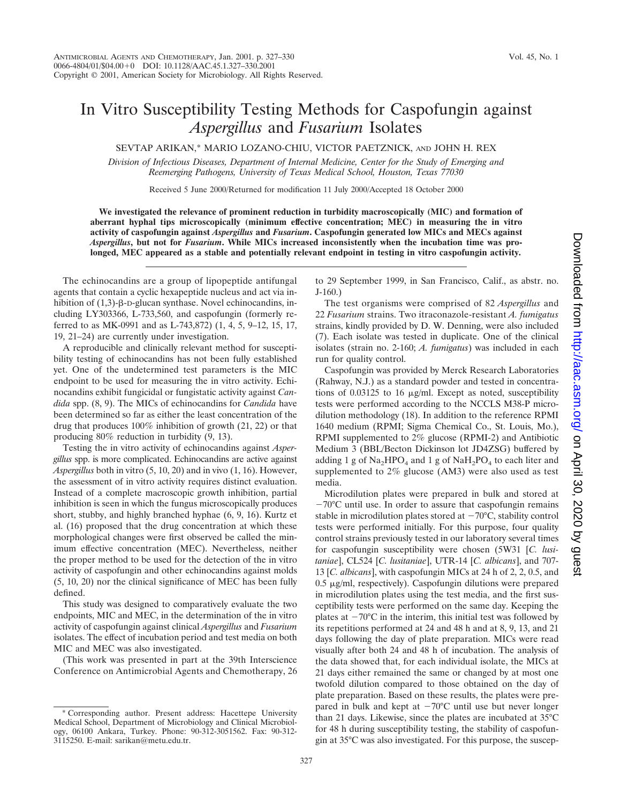## In Vitro Susceptibility Testing Methods for Caspofungin against *Aspergillus* and *Fusarium* Isolates

SEVTAP ARIKAN,\* MARIO LOZANO-CHIU, VICTOR PAETZNICK, AND JOHN H. REX

*Division of Infectious Diseases, Department of Internal Medicine, Center for the Study of Emerging and Reemerging Pathogens, University of Texas Medical School, Houston, Texas 77030*

Received 5 June 2000/Returned for modification 11 July 2000/Accepted 18 October 2000

**We investigated the relevance of prominent reduction in turbidity macroscopically (MIC) and formation of aberrant hyphal tips microscopically (minimum effective concentration; MEC) in measuring the in vitro activity of caspofungin against** *Aspergillus* **and** *Fusarium***. Caspofungin generated low MICs and MECs against** *Aspergillus***, but not for** *Fusarium***. While MICs increased inconsistently when the incubation time was prolonged, MEC appeared as a stable and potentially relevant endpoint in testing in vitro caspofungin activity.**

The echinocandins are a group of lipopeptide antifungal agents that contain a cyclic hexapeptide nucleus and act via inhibition of  $(1,3)$ - $\beta$ -D-glucan synthase. Novel echinocandins, including LY303366, L-733,560, and caspofungin (formerly referred to as MK-0991 and as L-743,872) (1, 4, 5, 9–12, 15, 17, 19, 21–24) are currently under investigation.

A reproducible and clinically relevant method for susceptibility testing of echinocandins has not been fully established yet. One of the undetermined test parameters is the MIC endpoint to be used for measuring the in vitro activity. Echinocandins exhibit fungicidal or fungistatic activity against *Candida* spp. (8, 9). The MICs of echinocandins for *Candida* have been determined so far as either the least concentration of the drug that produces 100% inhibition of growth (21, 22) or that producing 80% reduction in turbidity (9, 13).

Testing the in vitro activity of echinocandins against *Aspergillus* spp. is more complicated. Echinocandins are active against *Aspergillus* both in vitro (5, 10, 20) and in vivo (1, 16). However, the assessment of in vitro activity requires distinct evaluation. Instead of a complete macroscopic growth inhibition, partial inhibition is seen in which the fungus microscopically produces short, stubby, and highly branched hyphae (6, 9, 16). Kurtz et al. (16) proposed that the drug concentration at which these morphological changes were first observed be called the minimum effective concentration (MEC). Nevertheless, neither the proper method to be used for the detection of the in vitro activity of caspofungin and other echinocandins against molds (5, 10, 20) nor the clinical significance of MEC has been fully defined.

This study was designed to comparatively evaluate the two endpoints, MIC and MEC, in the determination of the in vitro activity of caspofungin against clinical *Aspergillus* and *Fusarium* isolates. The effect of incubation period and test media on both MIC and MEC was also investigated.

(This work was presented in part at the 39th Interscience Conference on Antimicrobial Agents and Chemotherapy, 26 to 29 September 1999, in San Francisco, Calif., as abstr. no. J-160.)

The test organisms were comprised of 82 *Aspergillus* and 22 *Fusarium* strains. Two itraconazole-resistant *A. fumigatus* strains, kindly provided by D. W. Denning, were also included (7). Each isolate was tested in duplicate. One of the clinical isolates (strain no. 2-160; *A. fumigatus*) was included in each run for quality control.

Caspofungin was provided by Merck Research Laboratories (Rahway, N.J.) as a standard powder and tested in concentrations of 0.03125 to 16 µg/ml. Except as noted, susceptibility tests were performed according to the NCCLS M38-P microdilution methodology (18). In addition to the reference RPMI 1640 medium (RPMI; Sigma Chemical Co., St. Louis, Mo.), RPMI supplemented to 2% glucose (RPMI-2) and Antibiotic Medium 3 (BBL/Becton Dickinson lot JD4ZSG) buffered by adding 1 g of  $Na<sub>2</sub>HPO<sub>4</sub>$  and 1 g of  $NaH<sub>2</sub>PO<sub>4</sub>$  to each liter and supplemented to 2% glucose (AM3) were also used as test media.

Microdilution plates were prepared in bulk and stored at  $-70^{\circ}$ C until use. In order to assure that caspofungin remains stable in microdilution plates stored at  $-70^{\circ}$ C, stability control tests were performed initially. For this purpose, four quality control strains previously tested in our laboratory several times for caspofungin susceptibility were chosen (5W31 [*C. lusitaniae*], CL524 [*C. lusitaniae*], UTR-14 [*C. albicans*], and 707- 13 [*C. albicans*], with caspofungin MICs at 24 h of 2, 2, 0.5, and  $0.5 \mu$ g/ml, respectively). Caspofungin dilutions were prepared in microdilution plates using the test media, and the first susceptibility tests were performed on the same day. Keeping the plates at  $-70^{\circ}$ C in the interim, this initial test was followed by its repetitions performed at 24 and 48 h and at 8, 9, 13, and 21 days following the day of plate preparation. MICs were read visually after both 24 and 48 h of incubation. The analysis of the data showed that, for each individual isolate, the MICs at 21 days either remained the same or changed by at most one twofold dilution compared to those obtained on the day of plate preparation. Based on these results, the plates were prepared in bulk and kept at  $-70^{\circ}$ C until use but never longer than 21 days. Likewise, since the plates are incubated at 35°C for 48 h during susceptibility testing, the stability of caspofungin at 35°C was also investigated. For this purpose, the suscep-

<sup>\*</sup> Corresponding author. Present address: Hacettepe University Medical School, Department of Microbiology and Clinical Microbiology, 06100 Ankara, Turkey. Phone: 90-312-3051562. Fax: 90-312- 3115250. E-mail: sarikan@metu.edu.tr.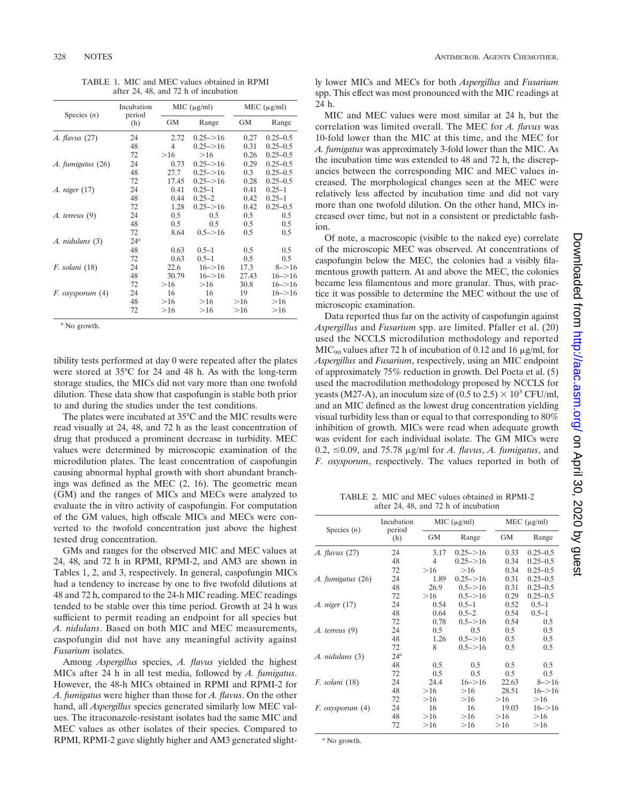| Species $(n)$         | Incubation<br>period<br>(h) | MIC (µg/ml)    |               | MEC $(\mu g/ml)$ |              |
|-----------------------|-----------------------------|----------------|---------------|------------------|--------------|
|                       |                             | GМ             | Range         | GМ               | Range        |
| <i>A. flavus</i> (27) | 24                          | 2.72           | $0.25 - > 16$ | 0.27             | $0.25 - 0.5$ |
|                       | 48                          | $\overline{4}$ | $0.25 = > 16$ | 0.31             | $0.25 - 0.5$ |
|                       | 72                          | >16            | $>16$         | 0.26             | $0.25 - 0.5$ |
| A. fumigatus (26)     | 24                          | 0.73           | $0.25 - > 16$ | 0.29             | $0.25 - 0.5$ |
|                       | 48                          | 27.7           | $0.25 - > 16$ | 0.3              | $0.25 - 0.5$ |
|                       | 72                          | 17.45          | $0.25 - > 16$ | 0.28             | $0.25 - 0.5$ |
| A. niger (17)         | 24                          | 0.41           | $0.25 - 1$    | 0.41             | $0.25 - 1$   |
|                       | 48                          | 0.44           | $0.25 - 2$    | 0.42             | $0.25 - 1$   |
|                       | 72                          | 1.28           | $0.25 = > 16$ | 0.42             | $0.25 - 0.5$ |
| $A.$ terreus $(9)$    | 24                          | 0.5            | 0.5           | $0.5^{\circ}$    | 0.5          |
|                       | 48                          | 0.5            | 0.5           | 0.5              | 0.5          |
|                       | 72                          | 8.64           | $0.5 - > 16$  | 0.5              | 0.5          |
| A. nidulans (3)       | $24^a$                      |                |               |                  |              |
|                       | 48                          | 0.63           | $0.5 - 1$     | 0.5              | 0.5          |
|                       | 72                          | 0.63           | $0.5 - 1$     | 0.5              | 0.5          |
| F. solani (18)        | 24                          | 22.6           | $16 - > 16$   | 17.3             | $8 - > 16$   |
|                       | 48                          | 30.79          | $16 - > 16$   | 27.43            | $16 - > 16$  |
|                       | 72                          | >16            | >16           | 30.8             | $16 - > 16$  |
| $F.$ oxysporum $(4)$  | 24                          | 16             | 16            | 19               | $16 - > 16$  |
|                       | 48                          | >16            | >16           | >16              | >16          |
|                       | 72                          | >16            | >16           | >16              | >16          |

TABLE 1. MIC and MEC values obtained in RPMI after 24, 48, and 72 h of incubation

*<sup>a</sup>* No growth.

tibility tests performed at day 0 were repeated after the plates were stored at 35°C for 24 and 48 h. As with the long-term storage studies, the MICs did not vary more than one twofold dilution. These data show that caspofungin is stable both prior to and during the studies under the test conditions.

The plates were incubated at 35°C and the MIC results were read visually at 24, 48, and 72 h as the least concentration of drug that produced a prominent decrease in turbidity. MEC values were determined by microscopic examination of the microdilution plates. The least concentration of caspofungin causing abnormal hyphal growth with short abundant branchings was defined as the MEC (2, 16). The geometric mean (GM) and the ranges of MICs and MECs were analyzed to evaluate the in vitro activity of caspofungin. For computation of the GM values, high offscale MICs and MECs were converted to the twofold concentration just above the highest tested drug concentration.

GMs and ranges for the observed MIC and MEC values at 24, 48, and 72 h in RPMI, RPMI-2, and AM3 are shown in Tables 1, 2, and 3, respectively. In general, caspofungin MICs had a tendency to increase by one to five twofold dilutions at 48 and 72 h, compared to the 24-h MIC reading. MEC readings tended to be stable over this time period. Growth at 24 h was sufficient to permit reading an endpoint for all species but *A. nidulans*. Based on both MIC and MEC measurements, caspofungin did not have any meaningful activity against *Fusarium* isolates.

Among *Aspergillus* species, *A. flavus* yielded the highest MICs after 24 h in all test media, followed by *A. fumigatus*. However, the 48-h MICs obtained in RPMI and RPMI-2 for *A. fumigatus* were higher than those for *A. flavus*. On the other hand, all *Aspergillus* species generated similarly low MEC values. The itraconazole-resistant isolates had the same MIC and MEC values as other isolates of their species. Compared to RPMI, RPMI-2 gave slightly higher and AM3 generated slightly lower MICs and MECs for both *Aspergillus* and *Fusarium* spp. This effect was most pronounced with the MIC readings at 24 h.

MIC and MEC values were most similar at 24 h, but the correlation was limited overall. The MEC for *A. flavus* was 10-fold lower than the MIC at this time, and the MEC for *A. fumigatus* was approximately 3-fold lower than the MIC. As the incubation time was extended to 48 and 72 h, the discrepancies between the corresponding MIC and MEC values increased. The morphological changes seen at the MEC were relatively less affected by incubation time and did not vary more than one twofold dilution. On the other hand, MICs increased over time, but not in a consistent or predictable fashion.

Of note, a macroscopic (visible to the naked eye) correlate of the microscopic MEC was observed. At concentrations of caspofungin below the MEC, the colonies had a visibly filamentous growth pattern. At and above the MEC, the colonies became less filamentous and more granular. Thus, with practice it was possible to determine the MEC without the use of microscopic examination.

Data reported thus far on the activity of caspofungin against *Aspergillus* and *Fusarium* spp. are limited. Pfaller et al. (20) used the NCCLS microdilution methodology and reported  $MIC<sub>90</sub>$  values after 72 h of incubation of 0.12 and 16  $\mu$ g/ml, for *Aspergillus* and *Fusarium*, respectively, using an MIC endpoint of approximately 75% reduction in growth. Del Poeta et al. (5) used the macrodilution methodology proposed by NCCLS for yeasts (M27-A), an inoculum size of (0.5 to 2.5)  $\times$  10<sup>3</sup> CFU/ml, and an MIC defined as the lowest drug concentration yielding visual turbidity less than or equal to that corresponding to 80% inhibition of growth. MICs were read when adequate growth was evident for each individual isolate. The GM MICs were  $0.2, \leq 0.09$ , and 75.78  $\mu$ g/ml for *A. flavus*, *A. fumigatus*, and *F. oxysporum*, respectively. The values reported in both of

TABLE 2. MIC and MEC values obtained in RPMI-2 after 24, 48, and 72 h of incubation

| Species $(n)$           | Incubation<br>period<br>(h) | MIC $(\mu g/ml)$ |               | $MEC (\mu g/ml)$ |              |
|-------------------------|-----------------------------|------------------|---------------|------------------|--------------|
|                         |                             | GМ               | Range         | GМ               | Range        |
| <i>A. flavus</i> (27)   | 24                          | 3.17             | $0.25 - > 16$ | 0.33             | $0.25 - 0.5$ |
|                         | 48                          | 4                | $0.25 = > 16$ | 0.34             | $0.25 - 0.5$ |
|                         | 72                          | >16              | >16           | 0.34             | $0.25 - 0.5$ |
| A. fumigatus (26)       | 24                          | 1.89             | $0.25 - > 16$ | 0.31             | $0.25 - 0.5$ |
|                         | 48                          | 26.9             | $0.5 - > 16$  | 0.31             | $0.25 - 0.5$ |
|                         | 72                          | >16              | $0.5 = > 16$  | 0.29             | $0.25 - 0.5$ |
| <i>A. niger</i> (17)    | 24                          | 0.54             | $0.5 - 1$     | 0.52             | $0.5 - 1$    |
|                         | 48                          | 0.64             | $0.5 - 2$     | 0.54             | $0.5 - 1$    |
|                         | 72                          | 0.78             | $0.5 - > 16$  | 0.54             | 0.5          |
| $A.$ terreus $(9)$      | 24                          | 0.5              | 0.5           | 0.5              | 0.5          |
|                         | 48                          | 1.26             | $0.5 - > 16$  | 0.5              | 0.5          |
|                         | 72                          | 8                | $0.5 - > 16$  | 0.5              | 0.5          |
| A. nidulans (3)         | $24^a$                      |                  |               |                  |              |
|                         | 48                          | 0.5              | 0.5           | 0.5              | 0.5          |
|                         | 72                          | 0.5              | 0.5           | 0.5              | 0.5          |
| F. solani (18)          | 24                          | 24.4             | $16 - > 16$   | 22.63            | $8 - > 16$   |
|                         | 48                          | >16              | >16           | 28.51            | $16 - > 16$  |
|                         | 72                          | $>16$            | >16           | >16              | $>16$        |
| <i>F. oxysporum</i> (4) | 24                          | 16               | 16            | 19.03            | $16 - > 16$  |
|                         | 48                          | $>16$            | >16           | >16              | >16          |
|                         | 72                          | >16              | >16           | >16              | >16          |
|                         |                             |                  |               |                  |              |

*<sup>a</sup>* No growth.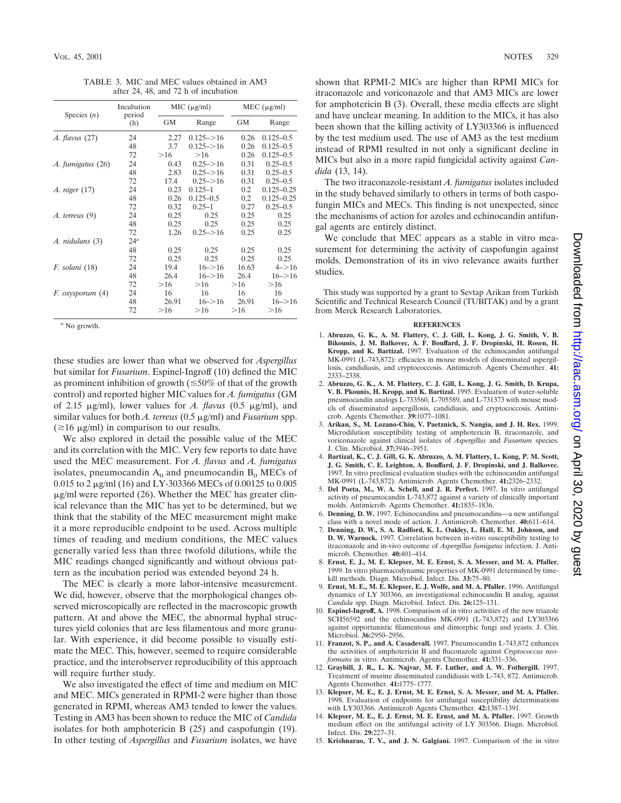TABLE 3. MIC and MEC values obtained in AM3 after 24, 48, and 72 h of incubation

| Species $(n)$      | Incubation<br>period<br>(h) | MIC (µg/ml) |                | MEC $(\mu g/ml)$ |                |
|--------------------|-----------------------------|-------------|----------------|------------------|----------------|
|                    |                             | GМ          | Range          | GМ               | Range          |
| $A.$ flavus $(27)$ | 24                          | 2.27        | $0.125 - > 16$ | 0.26             | $0.125 - 0.5$  |
|                    | 48                          | 3.7         | $0.125 - > 16$ | 0.26             | $0.125 - 0.5$  |
|                    | 72                          | >16         | >16            | 0.26             | $0.125 - 0.5$  |
| A. fumigatus (26)  | 24                          | 0.43        | $0.25 - > 16$  | 0.31             | $0.25 - 0.5$   |
|                    | 48                          | 2.83        | $0.25 - > 16$  | 0.31             | $0.25 - 0.5$   |
|                    | 72                          | 17.4        | $0.25 - > 16$  | 0.31             | $0.25 - 0.5$   |
| A. niger (17)      | 24                          | 0.23        | $0.125 - 1$    | 0.2              | $0.125 - 0.25$ |
|                    | 48                          | 0.26        | $0.125 - 0.5$  | 0.2              | $0.125 - 0.25$ |
|                    | 72                          | 0.32        | $0.25 - 1$     | 0.27             | $0.25 - 0.5$   |
| $A.$ terreus $(9)$ | 24                          | 0.25        | 0.25           | 0.25             | 0.25           |
|                    | 48                          | 0.25        | 0.25           | 0.25             | 0.25           |
|                    | 72                          | 1.26        | $0.25 - > 16$  | 0.25             | 0.25           |
| A. nidulans (3)    | $24^a$                      |             |                |                  |                |
|                    | 48                          | 0.25        | 0.25           | 0.25             | 0.25           |
|                    | 72                          | 0.25        | 0.25           | 0.25             | 0.25           |
| F. solani (18)     | 24                          | 19.4        | $16 - > 16$    | 16.63            | $4 - > 16$     |
|                    | 48                          | 26.4        | $16 - > 16$    | 26.4             | $16 - > 16$    |
|                    | 72                          | >16         | >16            | >16              | $>16$          |
| F. oxysporum (4)   | 24                          | 16          | 16             | 16               | 16             |
|                    | 48                          | 26.91       | $16 - > 16$    | 26.91            | $16 - > 16$    |
|                    | 72                          | >16         | >16            | >16              | >16            |

*<sup>a</sup>* No growth.

these studies are lower than what we observed for *Aspergillus* but similar for *Fusarium*. Espinel-Ingroff (10) defined the MIC as prominent inhibition of growth ( $\leq 50\%$  of that of the growth control) and reported higher MIC values for *A. fumigatus* (GM of 2.15  $\mu$ g/ml), lower values for *A. flavus* (0.5  $\mu$ g/ml), and similar values for both *A. terreus* (0.5  $\mu$ g/ml) and *Fusarium* spp.  $(\geq 16 \mu g/ml)$  in comparison to our results.

We also explored in detail the possible value of the MEC and its correlation with the MIC. Very few reports to date have used the MEC measurement. For *A. flavus* and *A. fumigatus* isolates, pneumocandin  $A_0$  and pneumocandin  $B_0$  MECs of 0.015 to 2 mg/ml (16) and LY-303366 MECs of 0.00125 to 0.005  $\mu$ g/ml were reported (26). Whether the MEC has greater clinical relevance than the MIC has yet to be determined, but we think that the stability of the MEC measurement might make it a more reproducible endpoint to be used. Across multiple times of reading and medium conditions, the MEC values generally varied less than three twofold dilutions, while the MIC readings changed significantly and without obvious pattern as the incubation period was extended beyond 24 h.

The MEC is clearly a more labor-intensive measurement. We did, however, observe that the morphological changes observed microscopically are reflected in the macroscopic growth pattern. At and above the MEC, the abnormal hyphal structures yield colonies that are less filamentous and more granular. With experience, it did become possible to visually estimate the MEC. This, however, seemed to require considerable practice, and the interobserver reproducibility of this approach will require further study.

We also investigated the effect of time and medium on MIC and MEC. MICs generated in RPMI-2 were higher than those generated in RPMI, whereas AM3 tended to lower the values. Testing in AM3 has been shown to reduce the MIC of *Candida* isolates for both amphotericin B (25) and caspofungin (19). In other testing of *Aspergillus* and *Fusarium* isolates, we have shown that RPMI-2 MICs are higher than RPMI MICs for itraconazole and voriconazole and that AM3 MICs are lower for amphotericin B (3). Overall, these media effects are slight and have unclear meaning. In addition to the MICs, it has also been shown that the killing activity of LY303366 is influenced by the test medium used. The use of AM3 as the test medium instead of RPMI resulted in not only a significant decline in MICs but also in a more rapid fungicidal activity against *Candida* (13, 14).

The two itraconazole-resistant *A. fumigatus* isolates included in the study behaved similarly to others in terms of both caspofungin MICs and MECs. This finding is not unexpected, since the mechanisms of action for azoles and echinocandin antifungal agents are entirely distinct.

We conclude that MEC appears as a stable in vitro measurement for determining the activity of caspofungin against molds. Demonstration of its in vivo relevance awaits further studies.

This study was supported by a grant to Sevtap Arikan from Turkish Scientific and Technical Research Council (TUBITAK) and by a grant from Merck Research Laboratories.

## **REFERENCES**

- 1. **Abruzzo, G. K., A. M. Flattery, C. J. Gill, L. Kong, J. G. Smith, V. B. Bikounis, J. M. Balkovec, A. F. Bouffard, J. F. Dropinski, H. Rosen, H. Kropp, and K. Bartizal.** 1997. Evaluation of the echinocandin antifungal MK-0991 (L-743,872): efficacies in mouse models of disseminated aspergillosis, candidiasis, and cryptococcosis. Antimicrob. Agents Chemother. **41:** 2333–2338.
- 2. **Abruzzo, G. K., A. M. Flattery, C. J. Gill, L. Kong, J. G. Smith, D. Krupa, V. B. Pkounis, H. Kropp, and K. Bartizal.** 1995. Evaluation of water-soluble pneumocandin analogs L-733560, L-705589, and L-731373 with mouse models of disseminated aspergillosis, candidiasis, and cryptococcosis. Antimicrob. Agents Chemother. **39:**1077–1081.
- 3. **Arikan, S., M. Lozano-Chiu, V. Paetznick, S. Nangia, and J. H. Rex.** 1999. Microdilution susceptibility testing of amphotericin B, itraconazole, and voriconazole against clinical isolates of *Aspergillus* and *Fusarium* species. J. Clin. Microbiol. **37:**3946–3951.
- 4. **Bartizal, K., C. J. Gill, G. K. Abruzzo, A. M. Flattery, L. Kong, P. M. Scott, J. G. Smith, C. E. Leighton, A. Bouffard, J. F. Dropinski, and J. Balkovec.** 1997. In vitro preclinical evaluation studies with the echinocandin antifungal MK-0991 (L-743,872). Antimicrob. Agents Chemother. **41:**2326–2332.
- 5. **Del Poeta, M., W. A. Schell, and J. R. Perfect.** 1997. In vitro antifungal activity of pneumocandin L-743,872 against a variety of clinically important molds. Antimicrob. Agents Chemother. **41:**1835–1836.
- 6. **Denning, D. W.** 1997. Echinocandins and pneumocandins—a new antifungal class with a novel mode of action. J. Antimicrob. Chemother. **40:**611–614.
- 7. **Denning, D. W., S. A. Radford, K. L. Oakley, L. Hall, E. M. Johnson, and D. W. Warnock.** 1997. Correlation between in-vitro susceptibility testing to itraconazole and in-vivo outcome of *Aspergillus fumigatus* infection. J. Antimicrob. Chemother. **40:**401–414.
- 8. **Ernst, E. J., M. E. Klepser, M. E. Ernst, S. A. Messer, and M. A. Pfaller.** 1999. In vitro pharmacodynamic properties of MK-0991 determined by timekill methods. Diagn. Microbiol. Infect. Dis. **33:**75–80.
- 9. **Ernst, M. E., M. E. Klepser, E. J. Wolfe, and M. A. Pfaller.** 1996. Antifungal dynamics of LY 303366, an investigational echinocandin B analog, against *Candida* spp. Diagn. Microbiol. Infect. Dis. **26:**125–131.
- 10. **Espinel-Ingroff, A.** 1998. Comparison of in vitro activities of the new triazole SCH56592 and the echinocandins MK-0991 (L-743,872) and LY303366 against opportunistic filamentous and dimorphic fungi and yeasts. J. Clin. Microbiol. **36:**2950–2956.
- 11. **Franzot, S. P., and A. Casadevall.** 1997. Pneumocandin L-743,872 enhances the activities of amphotericin B and fluconazole against *Cryptococcus neoformans* in vitro. Antimicrob. Agents Chemother. **41:**331–336.
- 12. **Graybill, J. R., L. K. Najvar, M. F. Luther, and A. W. Fothergill.** 1997. Treatment of murine disseminated candidiasis with L-743, 872. Antimicrob. Agents Chemother. **41:**1775–1777.
- 13. **Klepser, M. E., E. J. Ernst, M. E. Ernst, S. A. Messer, and M. A. Pfaller.** 1998. Evaluation of endpoints for antifungal susceptibility determinations with LY303366. Antimicrob Agents Chemother. **42:**1387–1391.
- 14. **Klepser, M. E., E. J. Ernst, M. E. Ernst, and M. A. Pfaller.** 1997. Growth medium effect on the antifungal activity of LY 303366. Diagn. Microbiol. Infect. Dis. **29:**227–31.
- 15. **Krishnarao, T. V., and J. N. Galgiani.** 1997. Comparison of the in vitro